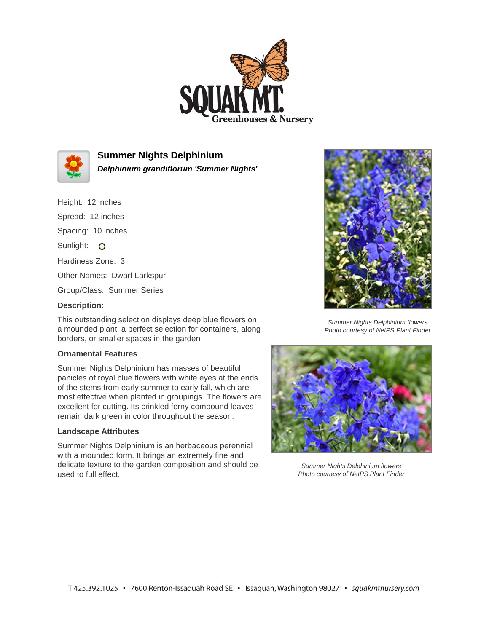



**Summer Nights Delphinium**

**Delphinium grandiflorum 'Summer Nights'**

Height: 12 inches

Spread: 12 inches

Spacing: 10 inches

Sunlight: O

Hardiness Zone: 3

Other Names: Dwarf Larkspur

Group/Class: Summer Series

## **Description:**

This outstanding selection displays deep blue flowers on a mounded plant; a perfect selection for containers, along borders, or smaller spaces in the garden

## **Ornamental Features**

Summer Nights Delphinium has masses of beautiful panicles of royal blue flowers with white eyes at the ends of the stems from early summer to early fall, which are most effective when planted in groupings. The flowers are excellent for cutting. Its crinkled ferny compound leaves remain dark green in color throughout the season.

## **Landscape Attributes**

Summer Nights Delphinium is an herbaceous perennial with a mounded form. It brings an extremely fine and delicate texture to the garden composition and should be used to full effect.



Summer Nights Delphinium flowers Photo courtesy of NetPS Plant Finder



Summer Nights Delphinium flowers Photo courtesy of NetPS Plant Finder